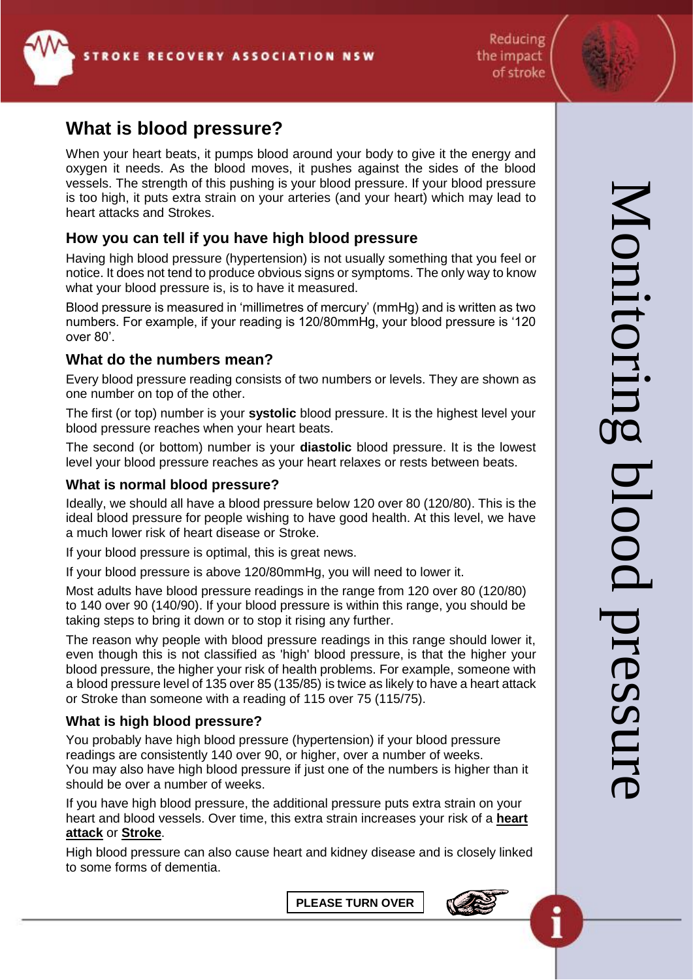

# **What is blood pressure?**

When your heart beats, it pumps blood around your body to give it the energy and oxygen it needs. As the blood moves, it pushes against the sides of the blood vessels. The strength of this pushing is your blood pressure. If your blood pressure is too high, it puts extra strain on your arteries (and your heart) which may lead to heart attacks and Strokes.

## **How you can tell if you have high blood pressure**

Having high blood pressure (hypertension) is not usually something that you feel or notice. It does not tend to produce obvious signs or symptoms. The only way to know what your blood pressure is, is to have it measured.

Blood pressure is measured in 'millimetres of mercury' (mmHg) and is written as two numbers. For example, if your reading is 120/80mmHg, your blood pressure is '120 over 80'.

#### **What do the numbers mean?**

Every blood pressure reading consists of two numbers or levels. They are shown as one number on top of the other.

The first (or top) number is your **systolic** blood pressure. It is the highest level your blood pressure reaches when your heart beats.

The second (or bottom) number is your **diastolic** blood pressure. It is the lowest level your blood pressure reaches as your heart relaxes or rests between beats.

#### **What is normal blood pressure?**

Ideally, we should all have a blood pressure below 120 over 80 (120/80). This is the ideal blood pressure for people wishing to have good health. At this level, we have a much lower risk of heart disease or Stroke.

If your blood pressure is optimal, this is great news.

If your blood pressure is above 120/80mmHg, you will need to lower it.

Most adults have blood pressure readings in the range from 120 over 80 (120/80) to 140 over 90 (140/90). If your blood pressure is within this range, you should be taking steps to bring it down or to stop it rising any further.

The reason why people with blood pressure readings in this range should lower it, even though this is not classified as 'high' blood pressure, is that the higher your blood pressure, the higher your risk of health problems. For example, someone with a blood pressure level of 135 over 85 (135/85) is twice as likely to have a heart attack or Stroke than someone with a reading of 115 over 75 (115/75).

#### **What is high blood pressure?**

You probably have high blood pressure (hypertension) if your blood pressure readings are consistently 140 over 90, or higher, over a number of weeks. You may also have high blood pressure if just one of the numbers is higher than it should be over a number of weeks.

If you have high blood pressure, the additional pressure puts extra strain on your heart and blood vessels. Over time, this extra strain increases your risk of a **[heart](http://www.bloodpressureuk.org/BloodPressureandyou/Yourbody/Arteries)  [attack](http://www.bloodpressureuk.org/BloodPressureandyou/Yourbody/Arteries)** or **[Stroke](http://www.bloodpressureuk.org/BloodPressureandyou/Yourbody/Stroke)**.

High blood pressure can also cause heart and kidney disease and is closely linked to some forms of dementia.

**PLEASE TURN OVER**